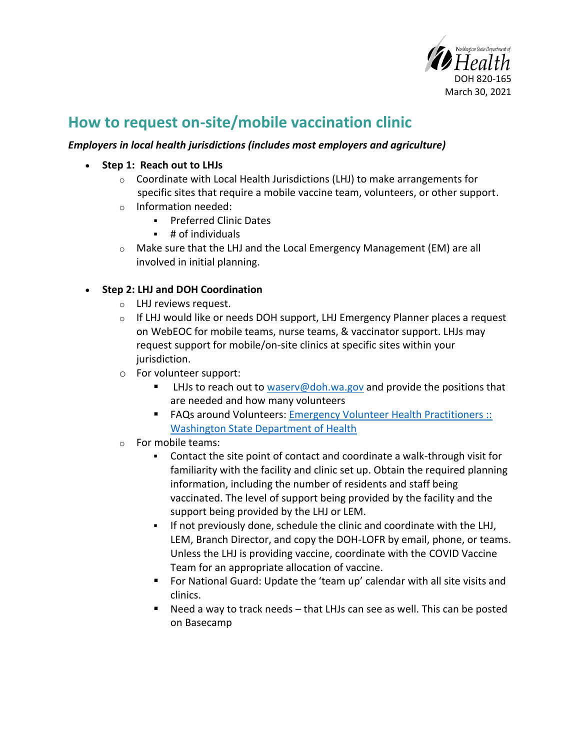

# **How to request on-site/mobile vaccination clinic**

## *Employers in local health jurisdictions (includes most employers and agriculture)*

- **Step 1: Reach out to LHJs**
	- $\circ$  Coordinate with Local Health Jurisdictions (LHJ) to make arrangements for specific sites that require a mobile vaccine team, volunteers, or other support.
	- o Information needed:
		- **Preferred Clinic Dates**
		- # of individuals
	- o Make sure that the LHJ and the Local Emergency Management (EM) are all involved in initial planning.

## • **Step 2: LHJ and DOH Coordination**

- o LHJ reviews request.
- o If LHJ would like or needs DOH support, LHJ Emergency Planner places a request on WebEOC for mobile teams, nurse teams, & vaccinator support. LHJs may request support for mobile/on-site clinics at specific sites within your jurisdiction.
- o For volunteer support:
	- LHJs to reach out to [waserv@doh.wa.gov](mailto:waserv@doh.wa.gov) and provide the positions that are needed and how many volunteers
	- FAQs around Volunteers: Emergency Volunteer Health Practitioners :: [Washington State Department of Health](https://www.doh.wa.gov/Emergencies/COVID19/HealthcareProviders/EmergencyVolunteerHealthPractitioners#heading41328)
- o For mobile teams:
	- Contact the site point of contact and coordinate a walk-through visit for familiarity with the facility and clinic set up. Obtain the required planning information, including the number of residents and staff being vaccinated. The level of support being provided by the facility and the support being provided by the LHJ or LEM.
	- If not previously done, schedule the clinic and coordinate with the LHJ, LEM, Branch Director, and copy the DOH-LOFR by email, phone, or teams. Unless the LHJ is providing vaccine, coordinate with the COVID Vaccine Team for an appropriate allocation of vaccine.
	- For National Guard: Update the 'team up' calendar with all site visits and clinics.
	- Need a way to track needs that LHJs can see as well. This can be posted on Basecamp